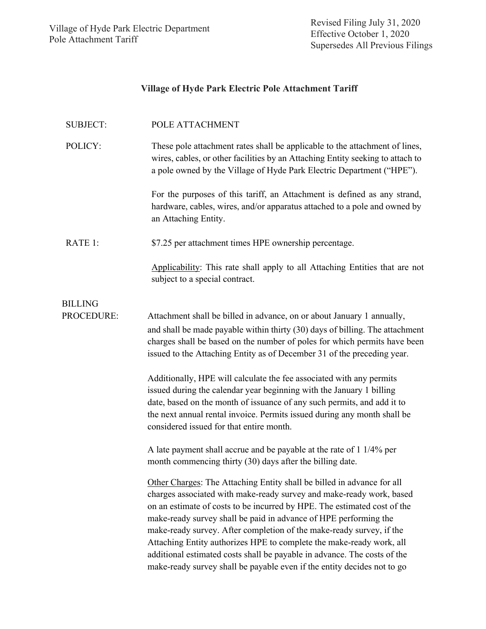# **Village of Hyde Park Electric Pole Attachment Tariff**

| <b>SUBJECT:</b>   | POLE ATTACHMENT                                                                                                                                                                                                                                                                                                                                                                                                                                                                                                                                                                                       |
|-------------------|-------------------------------------------------------------------------------------------------------------------------------------------------------------------------------------------------------------------------------------------------------------------------------------------------------------------------------------------------------------------------------------------------------------------------------------------------------------------------------------------------------------------------------------------------------------------------------------------------------|
| POLICY:           | These pole attachment rates shall be applicable to the attachment of lines,<br>wires, cables, or other facilities by an Attaching Entity seeking to attach to<br>a pole owned by the Village of Hyde Park Electric Department ("HPE").                                                                                                                                                                                                                                                                                                                                                                |
|                   | For the purposes of this tariff, an Attachment is defined as any strand,<br>hardware, cables, wires, and/or apparatus attached to a pole and owned by<br>an Attaching Entity.                                                                                                                                                                                                                                                                                                                                                                                                                         |
| RATE 1:           | \$7.25 per attachment times HPE ownership percentage.                                                                                                                                                                                                                                                                                                                                                                                                                                                                                                                                                 |
|                   | Applicability: This rate shall apply to all Attaching Entities that are not<br>subject to a special contract.                                                                                                                                                                                                                                                                                                                                                                                                                                                                                         |
| <b>BILLING</b>    |                                                                                                                                                                                                                                                                                                                                                                                                                                                                                                                                                                                                       |
| <b>PROCEDURE:</b> | Attachment shall be billed in advance, on or about January 1 annually,<br>and shall be made payable within thirty (30) days of billing. The attachment<br>charges shall be based on the number of poles for which permits have been<br>issued to the Attaching Entity as of December 31 of the preceding year.                                                                                                                                                                                                                                                                                        |
|                   | Additionally, HPE will calculate the fee associated with any permits<br>issued during the calendar year beginning with the January 1 billing<br>date, based on the month of issuance of any such permits, and add it to<br>the next annual rental invoice. Permits issued during any month shall be<br>considered issued for that entire month.                                                                                                                                                                                                                                                       |
|                   | A late payment shall accrue and be payable at the rate of 1 1/4% per<br>month commencing thirty (30) days after the billing date.                                                                                                                                                                                                                                                                                                                                                                                                                                                                     |
|                   | Other Charges: The Attaching Entity shall be billed in advance for all<br>charges associated with make-ready survey and make-ready work, based<br>on an estimate of costs to be incurred by HPE. The estimated cost of the<br>make-ready survey shall be paid in advance of HPE performing the<br>make-ready survey. After completion of the make-ready survey, if the<br>Attaching Entity authorizes HPE to complete the make-ready work, all<br>additional estimated costs shall be payable in advance. The costs of the<br>make-ready survey shall be payable even if the entity decides not to go |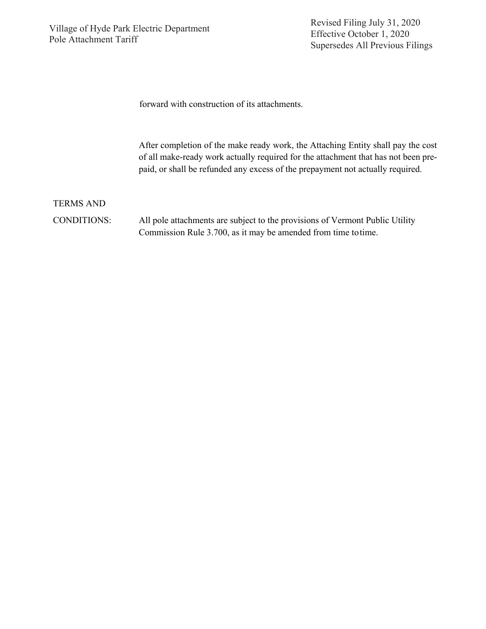Revised Filing July 31, 2020 Effective October 1, 2020 Supersedes All Previous Filings

forward with construction of its attachments.

After completion of the make ready work, the Attaching Entity shall pay the cost of all make-ready work actually required for the attachment that has not been prepaid, or shall be refunded any excess of the prepayment not actually required.

TERMS AND CONDITIONS: All pole attachments are subject to the provisions of Vermont Public Utility Commission Rule 3.700, as it may be amended from time totime.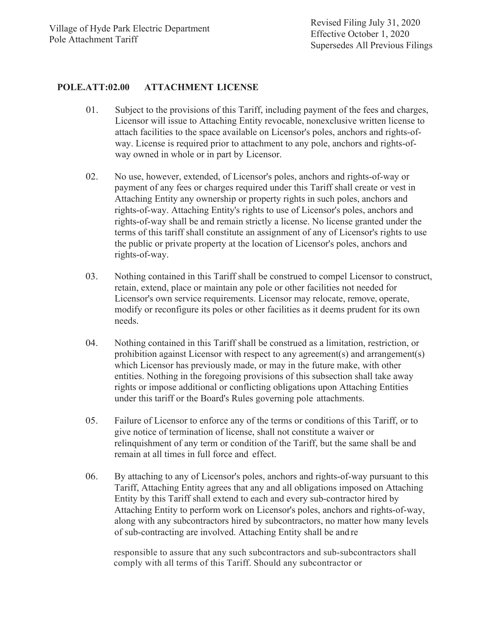#### **POLE.ATT:02.00 ATTACHMENT LICENSE**

- 01. Subject to the provisions of this Tariff, including payment of the fees and charges, Licensor will issue to Attaching Entity revocable, nonexclusive written license to attach facilities to the space available on Licensor's poles, anchors and rights-ofway. License is required prior to attachment to any pole, anchors and rights-ofway owned in whole or in part by Licensor.
- 02. No use, however, extended, of Licensor's poles, anchors and rights-of-way or payment of any fees or charges required under this Tariff shall create or vest in Attaching Entity any ownership or property rights in such poles, anchors and rights-of-way. Attaching Entity's rights to use of Licensor's poles, anchors and rights-of-way shall be and remain strictly a license. No license granted under the terms of this tariff shall constitute an assignment of any of Licensor's rights to use the public or private property at the location of Licensor's poles, anchors and rights-of-way.
- 03. Nothing contained in this Tariff shall be construed to compel Licensor to construct, retain, extend, place or maintain any pole or other facilities not needed for Licensor's own service requirements. Licensor may relocate, remove, operate, modify or reconfigure its poles or other facilities as it deems prudent for its own needs.
- 04. Nothing contained in this Tariff shall be construed as a limitation, restriction, or prohibition against Licensor with respect to any agreement(s) and arrangement(s) which Licensor has previously made, or may in the future make, with other entities. Nothing in the foregoing provisions of this subsection shall take away rights or impose additional or conflicting obligations upon Attaching Entities under this tariff or the Board's Rules governing pole attachments.
- 05. Failure of Licensor to enforce any of the terms or conditions of this Tariff, or to give notice of termination of license, shall not constitute a waiver or relinquishment of any term or condition of the Tariff, but the same shall be and remain at all times in full force and effect.
- 06. By attaching to any of Licensor's poles, anchors and rights-of-way pursuant to this Tariff, Attaching Entity agrees that any and all obligations imposed on Attaching Entity by this Tariff shall extend to each and every sub-contractor hired by Attaching Entity to perform work on Licensor's poles, anchors and rights-of-way, along with any subcontractors hired by subcontractors, no matter how many levels of sub-contracting are involved. Attaching Entity shall be and re

responsible to assure that any such subcontractors and sub-subcontractors shall comply with all terms of this Tariff. Should any subcontractor or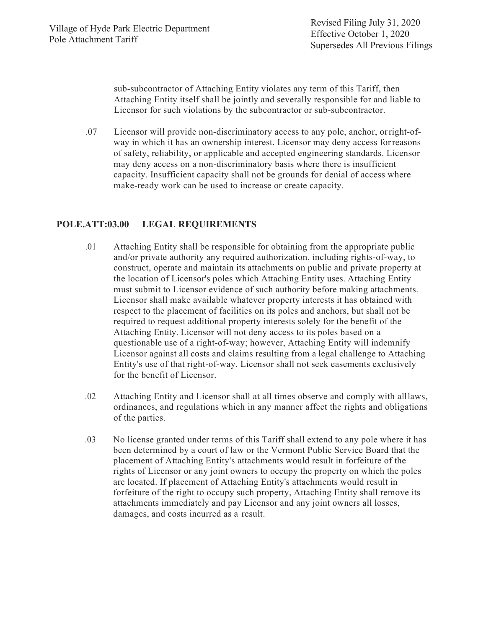sub-subcontractor of Attaching Entity violates any term of this Tariff, then Attaching Entity itself shall be jointly and severally responsible for and liable to Licensor for such violations by the subcontractor or sub-subcontractor.

.07 Licensor will provide non-discriminatory access to any pole, anchor, orright-ofway in which it has an ownership interest. Licensor may deny access forreasons of safety, reliability, or applicable and accepted engineering standards. Licensor may deny access on a non-discriminatory basis where there is insufficient capacity. Insufficient capacity shall not be grounds for denial of access where make-ready work can be used to increase or create capacity.

## **POLE.ATT:03.00 LEGAL REQUIREMENTS**

- .01 Attaching Entity shall be responsible for obtaining from the appropriate public and/or private authority any required authorization, including rights-of-way, to construct, operate and maintain its attachments on public and private property at the location of Licensor's poles which Attaching Entity uses. Attaching Entity must submit to Licensor evidence of such authority before making attachments. Licensor shall make available whatever property interests it has obtained with respect to the placement of facilities on its poles and anchors, but shall not be required to request additional property interests solely for the benefit of the Attaching Entity. Licensor will not deny access to its poles based on a questionable use of a right-of-way; however, Attaching Entity will indemnify Licensor against all costs and claims resulting from a legal challenge to Attaching Entity's use of that right-of-way. Licensor shall not seek easements exclusively for the benefit of Licensor.
- .02 Attaching Entity and Licensor shall at all times observe and comply with alllaws, ordinances, and regulations which in any manner affect the rights and obligations of the parties.
- .03 No license granted under terms of this Tariff shall extend to any pole where it has been determined by a court of law or the Vermont Public Service Board that the placement of Attaching Entity's attachments would result in forfeiture of the rights of Licensor or any joint owners to occupy the property on which the poles are located. If placement of Attaching Entity's attachments would result in forfeiture of the right to occupy such property, Attaching Entity shall remove its attachments immediately and pay Licensor and any joint owners all losses, damages, and costs incurred as a result.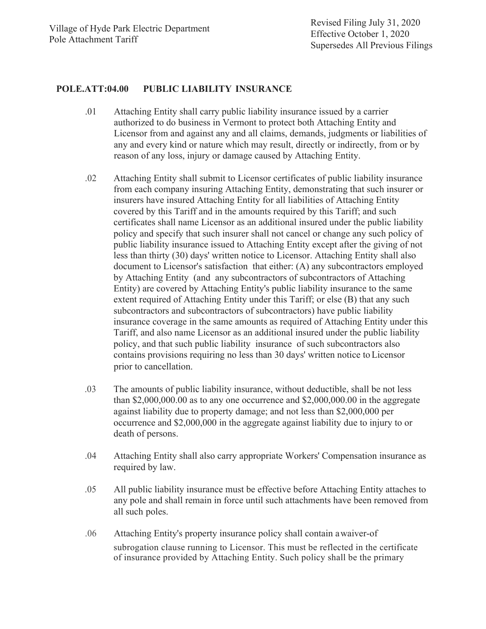#### **POLE.ATT:04.00 PUBLIC LIABILITY INSURANCE**

- .01 Attaching Entity shall carry public liability insurance issued by a carrier authorized to do business in Vermont to protect both Attaching Entity and Licensor from and against any and all claims, demands, judgments or liabilities of any and every kind or nature which may result, directly or indirectly, from or by reason of any loss, injury or damage caused by Attaching Entity.
- .02 Attaching Entity shall submit to Licensor certificates of public liability insurance from each company insuring Attaching Entity, demonstrating that such insurer or insurers have insured Attaching Entity for all liabilities of Attaching Entity covered by this Tariff and in the amounts required by this Tariff; and such certificates shall name Licensor as an additional insured under the public liability policy and specify that such insurer shall not cancel or change any such policy of public liability insurance issued to Attaching Entity except after the giving of not less than thirty (30) days' written notice to Licensor. Attaching Entity shall also document to Licensor's satisfaction that either: (A) any subcontractors employed by Attaching Entity (and any subcontractors of subcontractors of Attaching Entity) are covered by Attaching Entity's public liability insurance to the same extent required of Attaching Entity under this Tariff; or else (B) that any such subcontractors and subcontractors of subcontractors) have public liability insurance coverage in the same amounts as required of Attaching Entity under this Tariff, and also name Licensor as an additional insured under the public liability policy, and that such public liability insurance of such subcontractors also contains provisions requiring no less than 30 days' written notice toLicensor prior to cancellation.
- .03 The amounts of public liability insurance, without deductible, shall be not less than \$2,000,000.00 as to any one occurrence and \$2,000,000.00 in the aggregate against liability due to property damage; and not less than \$2,000,000 per occurrence and \$2,000,000 in the aggregate against liability due to injury to or death of persons.
- .04 Attaching Entity shall also carry appropriate Workers' Compensation insurance as required by law.
- .05 All public liability insurance must be effective before Attaching Entity attaches to any pole and shall remain in force until such attachments have been removed from all such poles.
- .06 Attaching Entity's property insurance policy shall contain awaiver-of subrogation clause running to Licensor. This must be reflected in the certificate of insurance provided by Attaching Entity. Such policy shall be the primary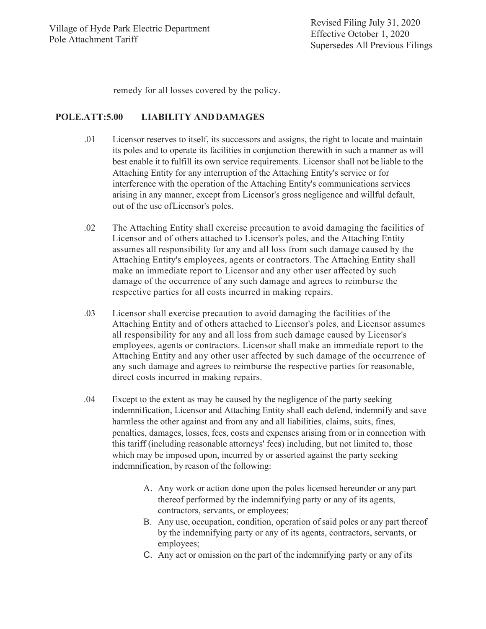remedy for all losses covered by the policy.

### **POLE.ATT:5.00 LIABILITY ANDDAMAGES**

- .01 Licensor reserves to itself, its successors and assigns, the right to locate and maintain its poles and to operate its facilities in conjunction therewith in such a manner as will best enable it to fulfill its own service requirements. Licensor shall not be liable to the Attaching Entity for any interruption of the Attaching Entity's service or for interference with the operation of the Attaching Entity's communications services arising in any manner, except from Licensor's gross negligence and willful default, out of the use ofLicensor's poles.
- .02 The Attaching Entity shall exercise precaution to avoid damaging the facilities of Licensor and of others attached to Licensor's poles, and the Attaching Entity assumes all responsibility for any and all loss from such damage caused by the Attaching Entity's employees, agents or contractors. The Attaching Entity shall make an immediate report to Licensor and any other user affected by such damage of the occurrence of any such damage and agrees to reimburse the respective parties for all costs incurred in making repairs.
- .03 Licensor shall exercise precaution to avoid damaging the facilities of the Attaching Entity and of others attached to Licensor's poles, and Licensor assumes all responsibility for any and all loss from such damage caused by Licensor's employees, agents or contractors. Licensor shall make an immediate report to the Attaching Entity and any other user affected by such damage of the occurrence of any such damage and agrees to reimburse the respective parties for reasonable, direct costs incurred in making repairs.
- .04 Except to the extent as may be caused by the negligence of the party seeking indemnification, Licensor and Attaching Entity shall each defend, indemnify and save harmless the other against and from any and all liabilities, claims, suits, fines, penalties, damages, losses, fees, costs and expenses arising from or in connection with this tariff (including reasonable attorneys' fees) including, but not limited to, those which may be imposed upon, incurred by or asserted against the party seeking indemnification, by reason of the following:
	- A. Any work or action done upon the poles licensed hereunder or any part thereof performed by the indemnifying party or any of its agents, contractors, servants, or employees;
	- B. Any use, occupation, condition, operation ofsaid poles or any part thereof by the indemnifying party or any of its agents, contractors, servants, or employees;
	- C. Any act or omission on the part of the indemnifying party or any of its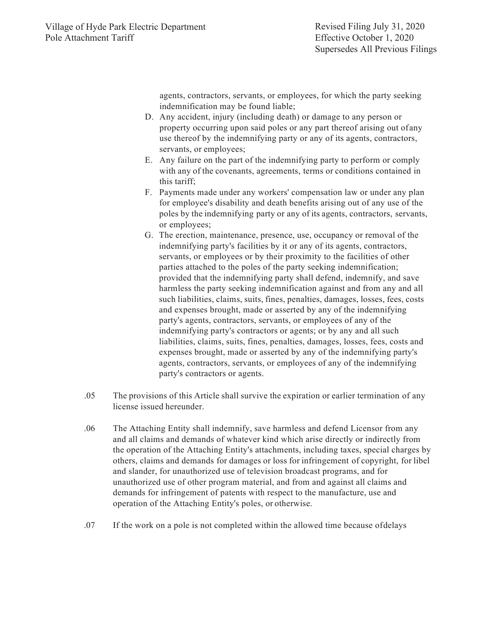agents, contractors, servants, or employees, for which the party seeking indemnification may be found liable;

- D. Any accident, injury (including death) or damage to any person or property occurring upon said poles or any part thereof arising out ofany use thereof by the indemnifying party or any of its agents, contractors, servants, or employees;
- E. Any failure on the part of the indemnifying party to perform or comply with any of the covenants, agreements, terms or conditions contained in this tariff;
- F. Payments made under any workers' compensation law or under any plan for employee's disability and death benefits arising out of any use of the poles by the indemnifying party or any of its agents, contractors, servants, or employees;
- G. The erection, maintenance, presence, use, occupancy or removal of the indemnifying party's facilities by it or any of its agents, contractors, servants, or employees or by their proximity to the facilities of other parties attached to the poles of the party seeking indemnification; provided that the indemnifying party shall defend, indemnify, and save harmless the party seeking indemnification against and from any and all such liabilities, claims, suits, fines, penalties, damages, losses, fees, costs and expenses brought, made or asserted by any of the indemnifying party's agents, contractors, servants, or employees of any of the indemnifying party's contractors or agents; or by any and all such liabilities, claims, suits, fines, penalties, damages, losses, fees, costs and expenses brought, made or asserted by any of the indemnifying party's agents, contractors, servants, or employees of any of the indemnifying party's contractors or agents.
- .05 The provisions of this Article shall survive the expiration or earlier termination of any license issued hereunder.
- .06 The Attaching Entity shall indemnify, save harmless and defend Licensor from any and all claims and demands of whatever kind which arise directly or indirectly from the operation of the Attaching Entity's attachments, including taxes, special charges by others, claims and demands for damages or loss for infringement of copyright, for libel and slander, for unauthorized use of television broadcast programs, and for unauthorized use of other program material, and from and against all claims and demands for infringement of patents with respect to the manufacture, use and operation of the Attaching Entity's poles, or otherwise.
- .07 If the work on a pole is not completed within the allowed time because ofdelays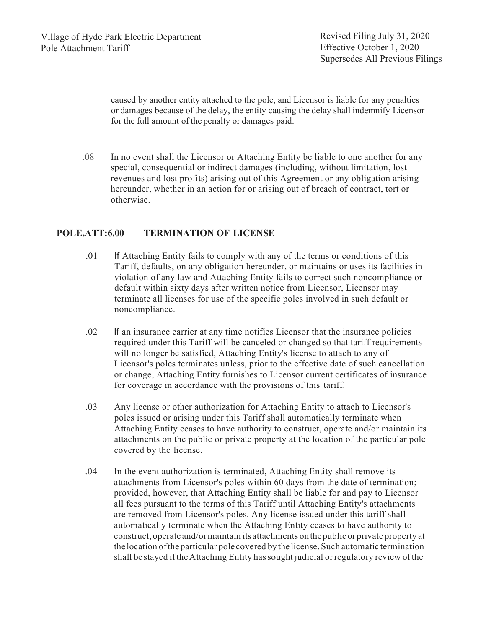caused by another entity attached to the pole, and Licensor is liable for any penalties or damages because of the delay, the entity causing the delay shall indemnify Licensor for the full amount of the penalty or damages paid.

.08 In no event shall the Licensor or Attaching Entity be liable to one another for any special, consequential or indirect damages (including, without limitation, lost revenues and lost profits) arising out of this Agreement or any obligation arising hereunder, whether in an action for or arising out of breach of contract, tort or otherwise.

#### **POLE.ATT:6.00 TERMINATION OF LICENSE**

- .01 If Attaching Entity fails to comply with any of the terms or conditions of this Tariff, defaults, on any obligation hereunder, or maintains or uses its facilities in violation of any law and Attaching Entity fails to correct such noncompliance or default within sixty days after written notice from Licensor, Licensor may terminate all licenses for use of the specific poles involved in such default or noncompliance.
- .02 If an insurance carrier at any time notifies Licensor that the insurance policies required under this Tariff will be canceled or changed so that tariff requirements will no longer be satisfied, Attaching Entity's license to attach to any of Licensor's poles terminates unless, prior to the effective date of such cancellation or change, Attaching Entity furnishes to Licensor current certificates of insurance for coverage in accordance with the provisions of this tariff.
- .03 Any license or other authorization for Attaching Entity to attach to Licensor's poles issued or arising under this Tariff shall automatically terminate when Attaching Entity ceases to have authority to construct, operate and/or maintain its attachments on the public or private property at the location of the particular pole covered by the license.
- .04 In the event authorization is terminated, Attaching Entity shall remove its attachments from Licensor's poles within 60 days from the date of termination; provided, however, that Attaching Entity shall be liable for and pay to Licensor all fees pursuant to the terms of this Tariff until Attaching Entity's attachments are removed from Licensor's poles. Any license issued under this tariff shall automatically terminate when the Attaching Entity ceases to have authority to construct, operate and/ormaintain its attachments on thepublic or private property at the location ofthe particular pole covered by the license. Such automatic termination shall be stayed iftheAttaching Entity hassought judicial orregulatory review ofthe